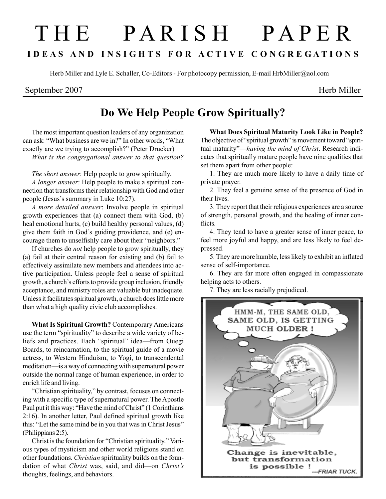## T H E P A R I S H P A P E R I D E A S A N D I N S I G H T S F O R A C T I V E C O N G R E G A T I O N S

Herb Miller and Lyle E. Schaller, Co-Editors - For photocopy permission, E-mail HrbMiller@aol.com

## September 2007 Herb Miller

## Do We Help People Grow Spiritually?

The most important question leaders of any organization can ask: "What business are we in?" In other words, "What exactly are we trying to accomplish?" (Peter Drucker) What is the congregational answer to that question?

The short answer: Help people to grow spiritually.

A longer answer: Help people to make a spiritual connection that transforms their relationship with God and other people (Jesus's summary in Luke 10:27).

A more detailed answer: Involve people in spiritual growth experiences that (a) connect them with God, (b) heal emotional hurts, (c) build healthy personal values, (d) give them faith in God's guiding providence, and (e) encourage them to unselfishly care about their "neighbors."

If churches do not help people to grow spiritually, they (a) fail at their central reason for existing and (b) fail to effectively assimilate new members and attendees into active participation. Unless people feel a sense of spiritual growth, a church's efforts to provide group inclusion, friendly acceptance, and ministry roles are valuable but inadequate. Unless it facilitates spiritual growth, a church does little more than what a high quality civic club accomplishes.

What Is Spiritual Growth? Contemporary Americans use the term "spirituality" to describe a wide variety of beliefs and practices. Each "spiritual" idea—from Ouegi Boards, to reincarnation, to the spiritual guide of a movie actress, to Western Hinduism, to Yogi, to transcendental meditation—is a way of connecting with supernatural power outside the normal range of human experience, in order to enrich life and living.

"Christian spirituality," by contrast, focuses on connecting with a specific type of supernatural power. The Apostle Paul put it this way: "Have the mind of Christ" (1 Corinthians 2:16). In another letter, Paul defined spiritual growth like this: "Let the same mind be in you that was in Christ Jesus" (Philippians 2:5).

Christ is the foundation for "Christian spirituality." Various types of mysticism and other world religions stand on other foundations. Christian spirituality builds on the foundation of what Christ was, said, and did—on Christ's thoughts, feelings, and behaviors.

What Does Spiritual Maturity Look Like in People? The objective of "spiritual growth" is movement toward "spiritual maturity"—having the mind of Christ. Research indicates that spiritually mature people have nine qualities that set them apart from other people:

1. They are much more likely to have a daily time of private prayer.

2. They feel a genuine sense of the presence of God in their lives.

3. They report that their religious experiences are a source of strength, personal growth, and the healing of inner conflicts.

4. They tend to have a greater sense of inner peace, to feel more joyful and happy, and are less likely to feel depressed.

5. They are more humble, less likely to exhibit an inflated sense of self-importance.

6. They are far more often engaged in compassionate helping acts to others.

7. They are less racially prejudiced.